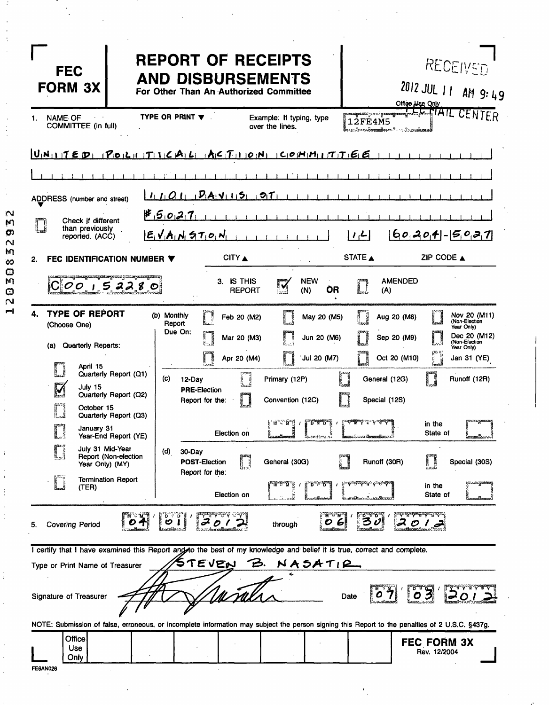| <b>FEC</b><br><b>FORM 3X</b>                                                              | <b>REPORT OF RECEIPTS</b><br><b>AND DISBURSEMENTS</b><br>For Other Than An Authorized Committee                                                           | RECEIVED<br>2012 JUL 11 AM 9:49<br>Office Lise Only                                                                                                                                                |
|-------------------------------------------------------------------------------------------|-----------------------------------------------------------------------------------------------------------------------------------------------------------|----------------------------------------------------------------------------------------------------------------------------------------------------------------------------------------------------|
| <b>NAME OF</b><br>1.<br>COMMITTEE (in full)                                               | TYPE OR PRINT $\blacktriangledown$<br>Example: If typing, type<br>over the lines.                                                                         | <del>┍╼┲╍</del> ╤╍┄╦ <del>╍╍╦╍╍╬╌╘┝┙╓</del> ┦╇╿┖<br>CENTER<br><b>12FE4M5</b><br>෧෭෮ඁ෦ඁ෬෭෧ <b>෮෩෩ඁ෯෬</b> ෦෬ <b>ඁ</b> ෬෬෮෭෬෭෯ <b>෨෧෯</b>                                                             |
|                                                                                           | $U_1N_{11}$ $T \in \mathcal{D}_1$ $P_1 \circ I_2 \circ I_3$ $T_1$ $1_1 \circ A_1$ $L_1$ $A_1 \circ T_2 \circ I_3$ $O_3 N_1$ $O_3 P_1 H_1 I_1 T_1 T_2 G_3$ |                                                                                                                                                                                                    |
|                                                                                           |                                                                                                                                                           |                                                                                                                                                                                                    |
| ADDRESS (number and street)                                                               | $1.101 - P_A v_1 15 - 01$                                                                                                                                 |                                                                                                                                                                                                    |
| Check if different<br>than previously<br>reported. (ACC)                                  | 45027<br>$E_1V_1A_1N_2T_1O_1N_1$                                                                                                                          | $60, 20, 4 - 50, 27$<br>$\mathcal{L}$                                                                                                                                                              |
| FEC IDENTIFICATION NUMBER V<br>2.                                                         | CITY                                                                                                                                                      | STATE A<br>ZIP CODE $\triangle$                                                                                                                                                                    |
| g <b>zzmagicz</b> zy g <b>omowy</b> nuzu ( ara <b>ngausangaw</b> szą<br>$ C OO$ $ S2280 $ | <b>NEW</b><br>3. IS THIS<br>IV<br><b>OR</b><br><b>REPORT</b><br>(N)<br>bad                                                                                | <b>AMENDED</b><br>I<br>(A)                                                                                                                                                                         |
| <b>TYPE OF REPORT</b><br>(Choose One)                                                     | (b) Monthly<br>May 20 (M5)<br>Feb 20 (M2)<br>Report<br>Due On:<br>Ĩ<br>Jun 20 (M6)<br>Mar 20 (M3)                                                         | Nov 20 (M11)<br>$\begin{array}{c} \begin{array}{c} \text{max} \\ \text{max} \end{array} \end{array}$<br>Aug 20 (M8)<br>(Non-Election<br>Year Only)<br>Dec 20 (M12)<br>Sep 20 (M9)<br>(Non-Election |
| <b>Quarterly Reparts:</b><br>(a)                                                          | Jul 20 (M7)<br>Apr 20 (M4)                                                                                                                                | Year Only)<br>$f^{\text{exp}}$<br>Oct 20 (M10)<br>Jan 31 (YE)                                                                                                                                      |
| April 15<br>Quarterly Report (Q1)                                                         | (c)<br>Primary (12P)<br>12-Day                                                                                                                            | In<br>Runoff (12R)<br>General (12G)                                                                                                                                                                |
| M<br>July 15<br>Quarterly Report (Q2)<br>October 15                                       | <b>PRE-Election</b><br>Convention (12C)<br>Report for the:<br>ŠI                                                                                          | Special (12S)                                                                                                                                                                                      |
| Quarterly Report (Q3)<br>r<br>January 31<br>R. S<br>Year-End Report (YE)                  | u - 53<br>$p_{\rm max}$<br>$\cdot$<br>Election on<br>ಶ್ರಮಾನವಿಗಳು ಇತಿ<br>linaaniineerii                                                                    | mangana<br>nder de la Paris de La<br>in the<br>State of<br><b>Commandator Commandator</b><br>ikuuniaa m                                                                                            |
| July 31 Mid-Year<br>Report (Non-election<br>Year Only) (MY)                               | (d)<br>30-Day<br>General (30G)<br><b>POST-Election</b><br>1<br>Report for the:                                                                            | Runoff (30R)<br>Special (30S)                                                                                                                                                                      |
| Ĩ<br><b>Termination Report</b><br>(TER)                                                   | 0.820<br>$\cdot$<br>Election on                                                                                                                           | korkuniteedusta hoobool<br>in the<br>State of<br>má <del>m</del> on <i>ó …</i> máxim                                                                                                               |
| <b>Covering Period</b><br>5.                                                              | E M B M<br>ဖ<br>6<br>through                                                                                                                              |                                                                                                                                                                                                    |
| Type or Print Name of Treasurer                                                           | I certify that I have examined this Report and to the best of my knowledge and belief it is true, correct and complete.<br>TEVEN<br>$N$ ASATIR<br>Ъ.      |                                                                                                                                                                                                    |
| Signature of Treasurer                                                                    | <u>N Tall</u>                                                                                                                                             | o 3<br>Date                                                                                                                                                                                        |
|                                                                                           | NOTE: Submission of false, erroneous, or incomplete information may subject the person signing this Report to the penalties of 2 U.S.C. §437g.            |                                                                                                                                                                                                    |
| Office<br>Use<br>Only<br><b>FE6AN026</b>                                                  |                                                                                                                                                           | <b>FEC FORM 3X</b><br>Rev. 12/2004                                                                                                                                                                 |

 $\ddot{\phantom{a}}$ 

 $\cdot$ 

 $\begin{array}{c}\n\cdot \\
\cdot \\
\cdot\n\end{array}$ 

 $\frac{1}{2}$ 

12030832932

医皮肤的

 $\frac{1}{3}$ 

 $\frac{1}{2}$ 

 $\frac{1}{2}$ 

 $\frac{1}{4}$ 

 $\frac{1}{2}$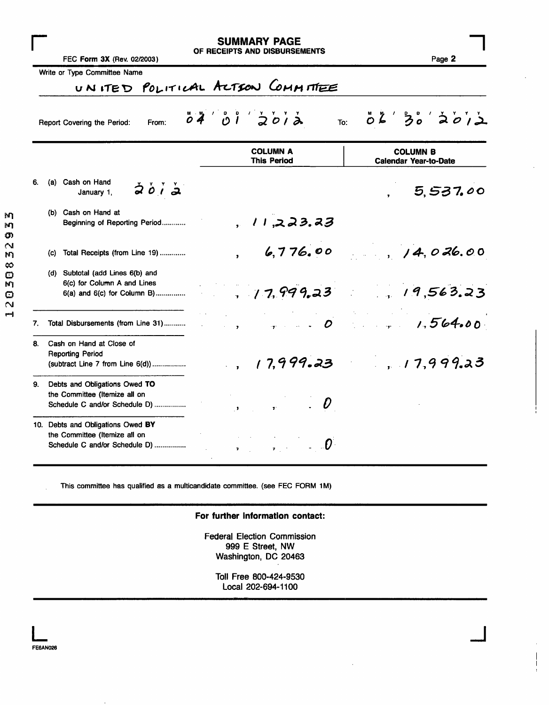|    | FEC Form 3X (Rev. 02/2003)                                                                          | <b>SUMMARY PAGE</b><br>OF RECEIPTS AND DISBURSEMENTS                                                               | Page 2                                                                                                                                                                                                                                                                                                                                                                                        |
|----|-----------------------------------------------------------------------------------------------------|--------------------------------------------------------------------------------------------------------------------|-----------------------------------------------------------------------------------------------------------------------------------------------------------------------------------------------------------------------------------------------------------------------------------------------------------------------------------------------------------------------------------------------|
|    | Write or Type Committee Name                                                                        | UNITED POLITICAL ACTION COMMITTEE                                                                                  |                                                                                                                                                                                                                                                                                                                                                                                               |
|    | From:<br>Report Covering the Period:                                                                | $\ddot{\rho}$ $\ddot{\theta}$ $\ddot{\theta}$ $\ddot{\theta}$ $\ddot{\theta}$ $\ddot{\theta}$ $\ddot{\phi}$<br>To: | $\ddot{\circ}$ $\ddot{\acute{a}}$ $\ddot{\acute{a}}$ $\ddot{\acute{a}}$ $\ddot{\acute{a}}$ $\ddot{\acute{a}}$ $\ddot{\acute{a}}$ $\ddot{\acute{a}}$ $\ddot{\acute{a}}$ $\ddot{\acute{a}}$ $\ddot{\acute{a}}$ $\ddot{\acute{a}}$ $\ddot{\acute{a}}$ $\ddot{\acute{a}}$ $\ddot{\acute{a}}$ $\ddot{\acute{a}}$ $\ddot{\acute{a}}$ $\ddot{\acute{a}}$ $\ddot{\acute{a}}$ $\ddot{\acute{a}}$ $\dd$ |
|    |                                                                                                     | <b>COLUMN A</b><br><b>This Period</b>                                                                              | <b>COLUMN B</b><br><b>Calendar Year-to-Date</b>                                                                                                                                                                                                                                                                                                                                               |
| 6. | (a) Cash on Hand<br>2012<br>January 1,                                                              |                                                                                                                    | 5,537.00                                                                                                                                                                                                                                                                                                                                                                                      |
|    | (b) Cash on Hand at<br>Beginning of Reporting Period                                                | 11.223.23                                                                                                          |                                                                                                                                                                                                                                                                                                                                                                                               |
|    | Total Receipts (from Line 19)<br>(c)                                                                | 6,776.00                                                                                                           | 14,026.00                                                                                                                                                                                                                                                                                                                                                                                     |
|    | (d) Subtotal (add Lines 6(b) and<br>6(c) for Column A and Lines<br>6(a) and 6(c) for Column B)      | 17, 999.23                                                                                                         | 19,563.23                                                                                                                                                                                                                                                                                                                                                                                     |
| 7. | Total Disbursements (from Line 31)                                                                  | $\boldsymbol{D}$<br>$\sim$ $\sim$ $\sim$                                                                           | 1.564.00                                                                                                                                                                                                                                                                                                                                                                                      |
| 8. | Cash on Hand at Close of<br><b>Reporting Period</b><br>(subtract Line 7 from Line 6(d))             | , 17,999.23                                                                                                        | 17,999.23                                                                                                                                                                                                                                                                                                                                                                                     |
| 9. | Debts and Obligations Owed TO<br>the Committee (Itemize all on<br>Schedule C and/or Schedule D)     | $\mathbf{r}$                                                                                                       |                                                                                                                                                                                                                                                                                                                                                                                               |
|    | 10. Debts and Obligations Owed BY<br>the Committee (Itemize all on<br>Schedule C and/or Schedule D) | $\mathcal{L} = \mathcal{O}$<br>$\mathbf{z} \in \mathbb{R}^d$                                                       |                                                                                                                                                                                                                                                                                                                                                                                               |

This committee has qualified as a multicandidate committee, (see FEC FORM IM)

### For further information contact:

Federal Election Commission 999 E Street, NW Washington, DC 20463

Toll Free 800-424-9530 Local 202-694-1100

j<br>J

 $\overline{1}$  $\mathbf{I}$ 

 $\mathsf{M}$ hŋ, O)  $\bar{\text{N}}$ M

20308

 $\mathsf{posf}$ 

**L**<br>FE6AN026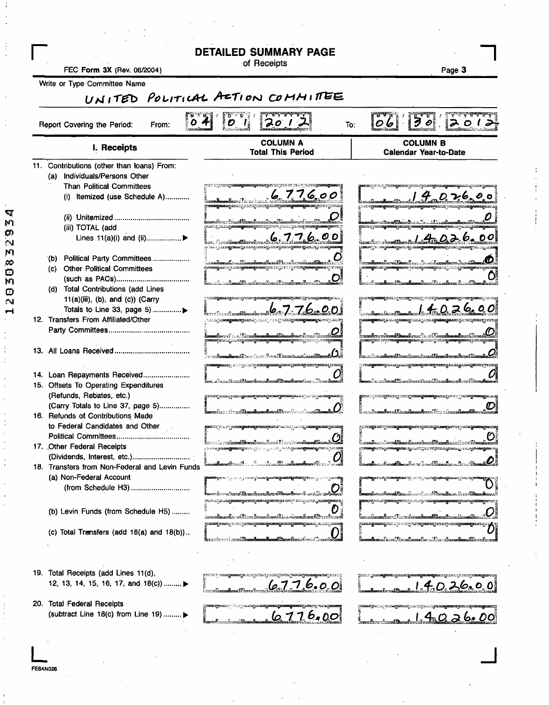| FEC Form 3X (Rev. 06/2004)                                             | <b>DETAILED SUMMARY PAGE</b><br>of Receipts                                                                                                                                                                  | Page 3                                                                                                                                                                                                                                                                                                                                                                                                                                                                                                                                                                                                                                                                                                                         |
|------------------------------------------------------------------------|--------------------------------------------------------------------------------------------------------------------------------------------------------------------------------------------------------------|--------------------------------------------------------------------------------------------------------------------------------------------------------------------------------------------------------------------------------------------------------------------------------------------------------------------------------------------------------------------------------------------------------------------------------------------------------------------------------------------------------------------------------------------------------------------------------------------------------------------------------------------------------------------------------------------------------------------------------|
| Write or Type Committee Name                                           |                                                                                                                                                                                                              |                                                                                                                                                                                                                                                                                                                                                                                                                                                                                                                                                                                                                                                                                                                                |
|                                                                        | UNITED POLITICAL AZTION COMMITTEE                                                                                                                                                                            |                                                                                                                                                                                                                                                                                                                                                                                                                                                                                                                                                                                                                                                                                                                                |
| Report Covering the Period:<br>From:                                   | $\boldsymbol{5}$ $\boldsymbol{4}$<br>$\overline{c}$<br>201                                                                                                                                                   | 30<br>$ \ddot{o}\dot{b} $<br>1201<br>To:                                                                                                                                                                                                                                                                                                                                                                                                                                                                                                                                                                                                                                                                                       |
| I. Receipts                                                            | <b>COLUMN A</b><br><b>Total This Period</b>                                                                                                                                                                  | <b>COLUMN B</b><br><b>Calendar Year-to-Date</b>                                                                                                                                                                                                                                                                                                                                                                                                                                                                                                                                                                                                                                                                                |
| 11. Contributions (other than loans) From:                             |                                                                                                                                                                                                              |                                                                                                                                                                                                                                                                                                                                                                                                                                                                                                                                                                                                                                                                                                                                |
| Individuals/Persons Other<br>(a)                                       | <b>Committee Control of Section Control Section</b>                                                                                                                                                          |                                                                                                                                                                                                                                                                                                                                                                                                                                                                                                                                                                                                                                                                                                                                |
| <b>Than Political Committees</b><br>(i) Itemized (use Schedule A)      | 776.00                                                                                                                                                                                                       | <u>"D. 7:6, 0.0</u>                                                                                                                                                                                                                                                                                                                                                                                                                                                                                                                                                                                                                                                                                                            |
|                                                                        | aganang menghangkanangana                                                                                                                                                                                    |                                                                                                                                                                                                                                                                                                                                                                                                                                                                                                                                                                                                                                                                                                                                |
|                                                                        |                                                                                                                                                                                                              |                                                                                                                                                                                                                                                                                                                                                                                                                                                                                                                                                                                                                                                                                                                                |
| (iii) TOTAL (add                                                       | makara a Crim <b>al Amerikanan A</b><br>elan gulu ayan nagmaangan ng panggunang nang nanang s                                                                                                                | <b>من 2 من المن التي يوم 2 من التي يوم التي يوم التي يوم التي يوم التي يوم التي يوم التي يوم التي يوم التي يوم ا</b>                                                                                                                                                                                                                                                                                                                                                                                                                                                                                                                                                                                                           |
| Lines 11(a)(i) and (ii)▶                                               | 7.7.6<br>O D                                                                                                                                                                                                 | . G. 00                                                                                                                                                                                                                                                                                                                                                                                                                                                                                                                                                                                                                                                                                                                        |
|                                                                        | та прав <b>адинату,</b> кондиницителизим о <b>дине дран</b> иц                                                                                                                                               | ликатун : «чарынжаздылказда какажарын                                                                                                                                                                                                                                                                                                                                                                                                                                                                                                                                                                                                                                                                                          |
| Political Party Committees<br>(b)                                      |                                                                                                                                                                                                              |                                                                                                                                                                                                                                                                                                                                                                                                                                                                                                                                                                                                                                                                                                                                |
| <b>Other Political Committees</b><br>(C).                              |                                                                                                                                                                                                              |                                                                                                                                                                                                                                                                                                                                                                                                                                                                                                                                                                                                                                                                                                                                |
| (d) Total Contributions (add Lines                                     | <u> 1988 - Camal Russkovskavet barbonsk</u>                                                                                                                                                                  | alman Zimaalama L                                                                                                                                                                                                                                                                                                                                                                                                                                                                                                                                                                                                                                                                                                              |
| $11(a)(iii)$ , (b), and (c)) (Carry                                    | ж <mark>илдерикана</mark> уына кучка қ <b>у</b> лымасуананары<br><b>BROOM CORPORATION AND AND CONSUMING CONTROL</b>                                                                                          | priim <b>alponnaa j</b> äraile gyvenna järaile jära järassa.                                                                                                                                                                                                                                                                                                                                                                                                                                                                                                                                                                                                                                                                   |
| Totals to Line 33, page 5)                                             |                                                                                                                                                                                                              |                                                                                                                                                                                                                                                                                                                                                                                                                                                                                                                                                                                                                                                                                                                                |
| 12. Transfers From Affiliated/Other                                    | <u>in di prostogosto espara</u> a prima prima prostogosto espe                                                                                                                                               | <b>ganaaq</b> a baaya <del>naaqoodda yooda ayaanaqaanado</del>                                                                                                                                                                                                                                                                                                                                                                                                                                                                                                                                                                                                                                                                 |
|                                                                        |                                                                                                                                                                                                              | irennörsuvänna <b>áfama</b> ðuraröst í Gans                                                                                                                                                                                                                                                                                                                                                                                                                                                                                                                                                                                                                                                                                    |
|                                                                        |                                                                                                                                                                                                              |                                                                                                                                                                                                                                                                                                                                                                                                                                                                                                                                                                                                                                                                                                                                |
|                                                                        | ກເຮືອ <del>ກແຕ່ເຊື້ອແລະ</del> ເຊີລີ 500 ກໍ່ 1000 ຄື ການກໍລິໂນລາແຕ່ລະເຊຍລະເຊີລີຊີ                                                                                                                             | raaduund Domolaan Laast Ligmatoonali                                                                                                                                                                                                                                                                                                                                                                                                                                                                                                                                                                                                                                                                                           |
|                                                                        | <b>nongra</b> nah <sub>i</sub> koto je teregana a <b>ganan januariyan ng matayawa</b> ng masay                                                                                                               | ji sen <b>angarum</b> ngawa ke <sub>gu</sub> uwangsomengandungkennang nu wa <sub>n</sub> g wanagputasa perang                                                                                                                                                                                                                                                                                                                                                                                                                                                                                                                                                                                                                  |
| 14. Loan Repayments Received                                           | <u>, Arabazilian irrako 42mai</u> kana (y. .                                                                                                                                                                 | <u>LandkamfillandrootheatPerrikreefers</u> filmed                                                                                                                                                                                                                                                                                                                                                                                                                                                                                                                                                                                                                                                                              |
| 15. Offsets To Operating Expenditures                                  |                                                                                                                                                                                                              |                                                                                                                                                                                                                                                                                                                                                                                                                                                                                                                                                                                                                                                                                                                                |
| (Refunds, Rebates, etc.)                                               | gaangaan jara <mark>gaangan saang an ang mang</mark> ana sa si at ma <mark>nangkaan</mark>                                                                                                                   | <b>gana juungeung ungunungnungkaang</b> di Jer <mark>ngeunggalay</mark>                                                                                                                                                                                                                                                                                                                                                                                                                                                                                                                                                                                                                                                        |
| (Carry Totals to Line 37, page 5)<br>16. Refunds of Contributions Made |                                                                                                                                                                                                              | Annelle Alexikandre (La cheada                                                                                                                                                                                                                                                                                                                                                                                                                                                                                                                                                                                                                                                                                                 |
| to Federal Candidates and Other                                        | <b>garan qiyot ay garaayaanaaganaaqaan a</b> gaa ah garaaya <mark>anaayaanaqaanaag</mark>                                                                                                                    | $\label{eq:convergence} \textit{if a single new system} \textit{if a single new system} \textit{if a single new system} \textit{if a single new system} \textit{if a single new system} \textit{if a single new system} \textit{if a single new system} \textit{if a single new system} \textit{if a single new system} \textit{if a single new system} \textit{if a single new system} \textit{if a single new system} \textit{if a single new system} \textit{if a single new system} \textit{if a single new system} \textit{if a single new system} \textit{if a single new system} \textit{if a single new system} \textit{if a single new system} \textit{if a single new system} \textit{if a single new system} \text$ |
|                                                                        |                                                                                                                                                                                                              |                                                                                                                                                                                                                                                                                                                                                                                                                                                                                                                                                                                                                                                                                                                                |
| 17. Other Federal Receipts                                             | $\ldots$ . $\ldots$ $\ldots$ $\ldots$ $\ldots$ $\ldots$ $\ldots$ $\ldots$ $\ldots$<br>പ്രവാഹ <b>്യക്കാര് പറ്റ്</b> പ്രതിസ്ഥാന പ്രവേശിച്ചു. പ്രവേശിച്ച് പ്രതിസ്ത്രങ്ങളുടെ കാര്യമാണ് കാര്യമാണ് കാര്യമാണ് കാര്യ | <u> 1998 - Frankland Lawska (d. 1892)</u><br><b>്രത്തുകൂട്ടുമാണും പ്രതിക്കുള്ളത്തും വ്യൂപ്രംഗസ്സ് മാന്ത് മാന്തമായിരുന്നു. പെംഗ്ലാർക്കെട്ടുമാ</b> യത്                                                                                                                                                                                                                                                                                                                                                                                                                                                                                                                                                                           |
|                                                                        | レ                                                                                                                                                                                                            | $\boldsymbol{\mathcal{Q}}$<br>- <del>Maria <b>M</b>aria A</del> re et Are (Dress Brench and C                                                                                                                                                                                                                                                                                                                                                                                                                                                                                                                                                                                                                                  |
| 18. Transfers from Non-Federal and Levin Funds                         |                                                                                                                                                                                                              |                                                                                                                                                                                                                                                                                                                                                                                                                                                                                                                                                                                                                                                                                                                                |
| (a) Non-Federal Account                                                | ാട്ടു നല സൂര്പ്പക്കെ <b>ട്ടുകൊണ്ടുകൊണ്ടുവേണ്ടു. ഈ പ്രാപ്പത്തു</b>                                                                                                                                            | <b>senellin mediteraalikune oli moori menellistemilisemed terrorita</b>                                                                                                                                                                                                                                                                                                                                                                                                                                                                                                                                                                                                                                                        |
|                                                                        |                                                                                                                                                                                                              | <b>n Europe Para (Dago</b> llo angel 1992-1992) angel ay nga 200 <b>na ay katayang para ngay ngay ngay ngay ngay ngay n</b> g                                                                                                                                                                                                                                                                                                                                                                                                                                                                                                                                                                                                  |
|                                                                        | himisi inta merda <del>laman da</del> nasastanan kekatan dan seri li menti mengelaman kelaman da                                                                                                             | <b>gamang provinsi akan at kabupatèn Sampang Kabupatèn Sampang Kabupatèn Sampang</b>                                                                                                                                                                                                                                                                                                                                                                                                                                                                                                                                                                                                                                           |
| (b) Levin Funds (from Schedule H5)                                     | င်းသောအိုးပြီးသော အသင်းသော အိုးသော အိုးသော အိုးသော အိုးသော အိုးသော အိုးသော အိုးသော အိုးသော အိုးသော အိုးသော အို                                                                                               | alkaamiilaan Olomo keessimmaaliikkassiikk                                                                                                                                                                                                                                                                                                                                                                                                                                                                                                                                                                                                                                                                                      |
| (c) Total Transfers (add $18(a)$ and $18(b)$ )                         | waargenamy 1060), xwaay <mark>saanaynanaqanaayaanaq</mark> anaa, jalaa qabaaq                                                                                                                                | pasagement in the compared management and                                                                                                                                                                                                                                                                                                                                                                                                                                                                                                                                                                                                                                                                                      |
|                                                                        | <u> Lessitzian (Anni Danmin al Danmin a</u> l Caracteria)                                                                                                                                                    | andre (Partner) - Dr. Sanala                                                                                                                                                                                                                                                                                                                                                                                                                                                                                                                                                                                                                                                                                                   |
|                                                                        |                                                                                                                                                                                                              |                                                                                                                                                                                                                                                                                                                                                                                                                                                                                                                                                                                                                                                                                                                                |
|                                                                        |                                                                                                                                                                                                              |                                                                                                                                                                                                                                                                                                                                                                                                                                                                                                                                                                                                                                                                                                                                |
| 19. Total Receipts (add Lines 11(d),                                   | то у такжерининди ангуртка релассите динтификации же уг                                                                                                                                                      | 2007 Janu <b>s Mar</b> tin Kathari Martin Martin Martin Andrew Martin (1970)                                                                                                                                                                                                                                                                                                                                                                                                                                                                                                                                                                                                                                                   |
| 12, 13, 14, 15, 16, 17, and 18(c)) ►                                   | 6776.00<br>(การแหร่ใน <b>มนเดิมและเริ่<sup>3</sup>ในระ</b> ษา                                                                                                                                                | $1.4.0.26$ , 0, 0                                                                                                                                                                                                                                                                                                                                                                                                                                                                                                                                                                                                                                                                                                              |
| 20. Total Federal Receipts                                             |                                                                                                                                                                                                              |                                                                                                                                                                                                                                                                                                                                                                                                                                                                                                                                                                                                                                                                                                                                |
| (subtract Line 18(c) from Line 19) $\blacktriangleright$               | <b>Samily Service</b> (UTC) en la consegue analysana.<br>6776.00                                                                                                                                             | <b>ZAMANGALO KY 6. SEMBERA SY LA TOGOLO GALAMARANG PARTI</b>                                                                                                                                                                                                                                                                                                                                                                                                                                                                                                                                                                                                                                                                   |
|                                                                        | finnskrad <b>iðan</b>                                                                                                                                                                                        | <b>26.00 م</b> ط                                                                                                                                                                                                                                                                                                                                                                                                                                                                                                                                                                                                                                                                                                               |
|                                                                        |                                                                                                                                                                                                              |                                                                                                                                                                                                                                                                                                                                                                                                                                                                                                                                                                                                                                                                                                                                |

120308328324

FE6AN026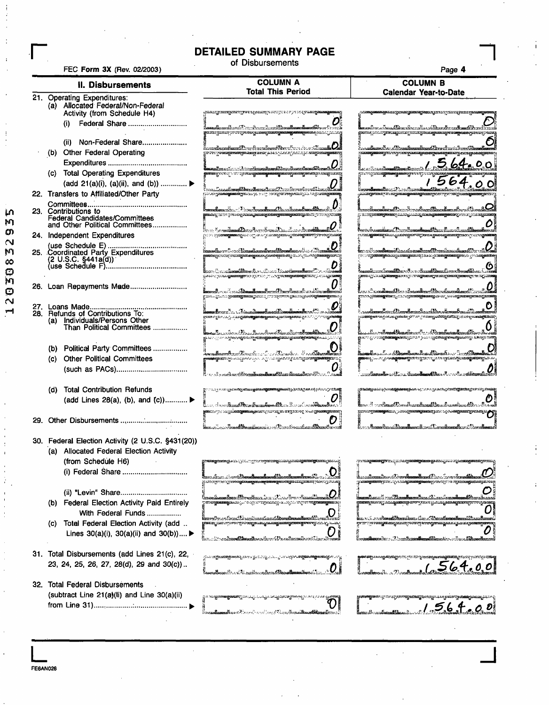# r **DETAILED SUMMARY PAGE** of Disbursements

FEC Form 3X (Rev. 02/2003) **Page 4** 

**L**<br>FE6AN026

ĻΛ  $\mathbf{\hat{M}}$ 

 $\Omega$ 

12030832

11. Disbursements COLUMN A COLUMN B

 $\overline{\phantom{0}}$ 

| iənai semen                                                      | <b>Total This Period</b>                                                                                                                                                                                                                                                                         | <b>Calendar Year-to-Date</b>                                                                                                                                                    |
|------------------------------------------------------------------|--------------------------------------------------------------------------------------------------------------------------------------------------------------------------------------------------------------------------------------------------------------------------------------------------|---------------------------------------------------------------------------------------------------------------------------------------------------------------------------------|
| 21. Operating Expenditures:<br>(a) Allocated Federal/Non-Federal |                                                                                                                                                                                                                                                                                                  |                                                                                                                                                                                 |
| Activity (from Schedule H4)                                      | ральную последующего проставительности и состоительности и состоительности и состоительности и состоительности<br>Податки последники состоительности и состоительности и состоительности и состоительности и состоительности и с                                                                 | <b>gparatyzes gravity and process</b> and constructions                                                                                                                         |
| Federal Share<br>(i)                                             |                                                                                                                                                                                                                                                                                                  | <b>le</b> mentos a Sangta embre ad a collecte de centr                                                                                                                          |
|                                                                  | <b>AIRIYARAY</b> KYAYIYARAY MA <del>MIYARAY KATIFATI A MASA A MASA A MASA A MASA A MASA A MASA A MASA A MASA A MASA A MASA</del>                                                                                                                                                                 | ganag circuiyaniaşında yaparışdamışınan geranayan and çirindi.                                                                                                                  |
| (ii) Non-Federal Share                                           |                                                                                                                                                                                                                                                                                                  | <u> 1. saalkaan Ase Albannikuunikuus Alexa-Assii Jaa</u>                                                                                                                        |
| (b) Other Federal Operating                                      | liseralaredamiliku firmalaanifkeedisse sissaali <b>Uli</b><br>prosegono <del>gonogo aag</del> assa jota paagaan ja segmengonog                                                                                                                                                                   | <b>TENNY SERVER AT THE TENTY OF THE SERVER CONTROL CONSUMING SERVER AND THE SERVER OF THE SERVER OF THE SERVER OF</b>                                                           |
|                                                                  | miles in the demokratike the formulation                                                                                                                                                                                                                                                         | 1,564.00                                                                                                                                                                        |
| (c) Total Operating Expenditures                                 | <b>yana 1986-1986, 1986-1987, 1987-1988, 1988 ang mga magawang matanggan na ng panahong panahong panahong panahon</b>                                                                                                                                                                            | 1564.00                                                                                                                                                                         |
| (add 21(a)(i), (a)(ii), and (b))  ▶                              |                                                                                                                                                                                                                                                                                                  |                                                                                                                                                                                 |
| 22. Transfers to Affiliated/Other Party                          | .<br>juuristermatameet deeltameet ond toonit maailmantikust teentaan.<br>juuristermatameet ja maailmantikust on ja maailmanti                                                                                                                                                                    |                                                                                                                                                                                 |
|                                                                  |                                                                                                                                                                                                                                                                                                  |                                                                                                                                                                                 |
| 23. Contributions to<br>Federal Candidates/Committees            | kaandimmisee Londinaalinaal läeselaandinaalidasele<br><b>nagustro ya wangwaza ya azargana mga magusang na mga 1999 na pang</b>                                                                                                                                                                   | രം കാര്യക്കാരിക്കാരിക്കാരി കൊണ്ടുകാരി കാര്യക്കാരിക്കാരി കാര്യമായി കാര്യമായി കാര്യമായി കാര്യമായി കാര്യമായി കാര്                                                                  |
| and Other Political Committees                                   |                                                                                                                                                                                                                                                                                                  |                                                                                                                                                                                 |
| 24. Independent Expenditures                                     | an Cor <b>actional Document Accord Security of the Second Second</b><br>ji da mar <b>a kata ya k</b> asa katika mata wa kata wa kata wa kata wa kutana kata wa kutana wa kutana wa kata wa kuta                                                                                                  | ് പാത്രമുള്ളത്തിന്റെ താരം പൂരുക്കാന്റെയാണ് പ്രത്യേക പ്രകാരമാണ്ണമായത്തിന് കാരം പുറത്തിക്കു                                                                                       |
|                                                                  |                                                                                                                                                                                                                                                                                                  |                                                                                                                                                                                 |
| 25. Coordinated Party Expenditures                               | kaanselkorerrille on Aksamalikaansaltaansaltiliseuraltaanselt koor<br><b>n katangan dan terbanguna ang masa itu yang managan dan ganakan dan ganakan dan dan ganakan dan ganakan dan da</b>                                                                                                      | lar ad hom <b>da</b> mai kasata mul <del>aan 12 metam</del> at<br>gan sa <b>nyakang katalog ang panang</b> katalog <mark>na atang katang kata</mark> log gan nang katalo        |
|                                                                  |                                                                                                                                                                                                                                                                                                  |                                                                                                                                                                                 |
|                                                                  | en Cous <b>ismilien</b> is diese bestehender Br<br>process in the consequence and a control of the confidence of the consequence of the consequence of the consequence of                                                                                                                        | <u>bacani membenatikan di sediamatikan di medias</u><br><b>production as the community of the community of the community of the community of the community of the community</b> |
|                                                                  |                                                                                                                                                                                                                                                                                                  |                                                                                                                                                                                 |
|                                                                  | production of the companion of the companion of the companion of the companion of the companion of the companion of the companion of the companion of the companion of the companion of the companion of the companion of the                                                                    | d xo <b>ndanni R</b> os Asam <b>ikar (B</b> arak<br>grooter and a set of the company of the company of the company of the company of the company of the company of              |
|                                                                  |                                                                                                                                                                                                                                                                                                  |                                                                                                                                                                                 |
| 28. Refunds of Contributions To:                                 | derer (m. 1788), anders de sant Donald andere 1988 en 1<br>അത്ത്വാസ്പ്രാമം കള്ളുകള്ള <mark>ുടെ ആരംഗം കാര്യക്കോട്ടിക്കാന് പ്രവേ</mark> ദ്യക്കുന്നു. കാര്യക്കാരിക്കുന്ന കാര്യക്കാരിക്കുന്നു                                                                                                        | u <b>utang me</b> rika guni yang patantan yairi seri di ditampiya ditanggalatilang jugis sebagai mana                                                                           |
| (a) Individuals/Persons Other                                    |                                                                                                                                                                                                                                                                                                  |                                                                                                                                                                                 |
| Than Political Committees                                        | <b>ya masa kan</b> ggunan kata kata kata sa kata sa kata sa kata sa kata sa kata sa kata sa kata sa kata sa kata sa ka<br><sub>Y</sub> a masa ng mga mata sa kata sa mata sa mata sa mata sa mata sa mata sa mata sa mata sa mata sa mata sa mata                                                | ในมหา <b>เป็นของฝั่วโดยเ</b> พื่อของเป็นการใช้วิทยาลัยเสนเหมือนเหมือนได้ในความใหม่ 4 <b>42</b>                                                                                  |
|                                                                  |                                                                                                                                                                                                                                                                                                  |                                                                                                                                                                                 |
| (b) Political Party Committees                                   | l <b>isen ylinna kuurille esiteeste esiteeste ta kuurille ta kuurille ta sitest</b> kuulutta kuu                                                                                                                                                                                                 | daanna Alexandra (Araba Araba) ah ah ah dadka Araba Araba Araba Araba Araba Araba Araba Araba Araba Araba Arab                                                                  |
| <b>Other Political Committees</b><br>(C).                        | <b>ക്കണ്ടുമാ</b> യത്തുപോക്കുകയാണ്. സ്വാപാക്കുകയായും കേസ്ത്രമാ <b>യതുള്ളത്തില്ലെന്ന</b> ് ഉ                                                                                                                                                                                                       | ബുപ <i>പാട്ടുക്ക<b>െകളുടെയെ</b>ണ്ടുണ്ട്. സ</i> ൂവാന സ്ത്രാക്കരുടെ മാത്രമായിരുന്ന പറ                                                                                             |
|                                                                  | ານ ເປີດ ແລະເລີດແລະເລີດ <b>ເພລາເລີດແລະເລີດໃຫ້ມາກ ເລີ່ຍເລຍເພີ່ມເວລາ ທີ່</b> ໄດ້ເປັນ                                                                                                                                                                                                                | aalkamaadka sadda maa dhaqaadka kanaalka waxaa marka waxaa la waxaa la waxaa la waxa ka sadda la waxa dhaqaa w                                                                  |
| <b>Total Contribution Refunds</b><br>(d)                         |                                                                                                                                                                                                                                                                                                  | <mark>ga tadang unisi ay fin nadappalawang bisa</mark> n isg (1999).  Jinan ning katal <mark>ag pandang</mark> natulog dananap                                                  |
| (add Lines 28(a), (b), and (c)) ▶                                |                                                                                                                                                                                                                                                                                                  |                                                                                                                                                                                 |
|                                                                  | a de continent d'Arne Amerikane Mars David av allementare de<br>n kata yang kalendar kata yang kalendar dan mana di sebagai yang mengang dan mana di sebagai menama dan mana d<br>Sebagai dan mana dan mana dan mana dan mana dan mana dan mana dan mana dan mana dan mana dan mana dan mana dan | ് <del>. സി.ക.സ്. സംസ്കരികം പി.</del> കക്<br><b>The Community of the Community of the Community of the Community of the Community of the Community of the Community</b>         |
|                                                                  |                                                                                                                                                                                                                                                                                                  |                                                                                                                                                                                 |
|                                                                  | lan a <b>lamach de amhran</b> acha an Chanach neamhsa <b>n dh'iom</b>                                                                                                                                                                                                                            | Amerikan Amerikaansk profilozofisansk profilo                                                                                                                                   |
| 30. Federal Election Activity (2 U.S.C. §431(20))                |                                                                                                                                                                                                                                                                                                  |                                                                                                                                                                                 |
| (a) Allocated Federal Election Activity                          |                                                                                                                                                                                                                                                                                                  |                                                                                                                                                                                 |
| (from Schedule H6)                                               | <b>ng panahangunan (panahangunan pertama panahangunan panahang kanahangunan (panahang</b>                                                                                                                                                                                                        | ryn ma <b>ng managgir</b> mar <sub>a a</sub> sa ng mga mangganang panaggara at ganagganan ng p                                                                                  |
| (i) Federal Share                                                |                                                                                                                                                                                                                                                                                                  |                                                                                                                                                                                 |
|                                                                  | lan sala sa si san Amandinan di Ana Amandinan M<br>പ്പ് പരാത്രമായ പ്രദേശം <b>പ്രദേശം പ്രവര്ത്തക്കാരിക്കുന്നു. പ്രവര്</b> ത്തക്കാരിക്കാരിക്കാരി പ്രവര്ത്തക്കാന് പ്രവര്ത്ത                                                                                                                         | ltarastammänes Tom <del>olissanlinna 1</del> 2 arc from finna <b>list</b><br>gan ang panggunang pang mga panggunang panggunang pang mga mga mga panggunang panggunang pang      |
| (ii) "Levin" Share                                               |                                                                                                                                                                                                                                                                                                  |                                                                                                                                                                                 |
| (b) Federal Election Activity Paid Entirely                      | ားမည္ ၁၀၀၀ အတြက္ ေမာ္ေတြက အမွာ ေအာက္လာ                                                                                                                                                                                                                                                           | ma <b>nyamangyaroreji</b> pason gyanang <b>aanongammagar</b>                                                                                                                    |
| With Federal Funds                                               |                                                                                                                                                                                                                                                                                                  |                                                                                                                                                                                 |
|                                                                  | beneralbar och kandida samlinnandlar med kommunismens och som s<br><b>ntari "meconicale californistic proprietary" ("mechanicale controls") in the control of the control of the cont</b>                                                                                                        | <b>ພິເພ ຮາວັນ ນານຕົວໜອນທີ່ມີສັນພະຍາອົນແລ</b> ະ ເລີຍລະ <i>ເປີດກະເພດທີ່ສະຫະ</i>                                                                                                   |
| Total Federal Election Activity (add<br>(C)                      |                                                                                                                                                                                                                                                                                                  | kaliin liin samilkannettammilisvaaniseinnettaavestoravattovavatti                                                                                                               |
| Lines $30(a)(i)$ , $30(a)(ii)$ and $30(b)$ )                     |                                                                                                                                                                                                                                                                                                  |                                                                                                                                                                                 |
| 31. Total Disbursements (add Lines 21(c), 22,                    | ്ട്ടാകാര <b>ത്രക്കാര്ത്തുടെയാറു മന്നെ</b> പ്ലെ ചെയ്യു പാലം പ്ലാപ്പറച്ച <b>ുന്ന കാതൃതരത്തുക്കാര്ത്തുന്നു.</b> പറപ്പു                                                                                                                                                                              |                                                                                                                                                                                 |
| 23, 24, 25, 26, 27, 28(d), 29 and 30(c))                         |                                                                                                                                                                                                                                                                                                  | 1.564.00                                                                                                                                                                        |
|                                                                  | U<br>Emportin vel Unicollare a Social Divo                                                                                                                                                                                                                                                       |                                                                                                                                                                                 |
| 32. Total Federal Disbursements                                  |                                                                                                                                                                                                                                                                                                  |                                                                                                                                                                                 |
| (subtract Line 21(a)(li) and Line 30(a)(ii)                      | ത്ര മാത്രമായ <b>്യയെന്ന</b> ് ഗാന്ധ്യസ്ഥാന് പ്രസ്തുക്കാര്ത്തുകൊണ്ടുവരുന്ന പറയും കൂ <mark>ണ്ടാ</mark> യി                                                                                                                                                                                          | <b>Tant</b> i ili mana kata matama mandi mana katika ka                                                                                                                         |
|                                                                  |                                                                                                                                                                                                                                                                                                  | 1.56.4.00                                                                                                                                                                       |
|                                                                  | ใน <b>วามเป็นเพ</b> ที่ใหม่ Killer เหมือนอยู่ ในว่า (เป็นเพที่ใหม่ เพิ่มเพที่ใหม่                                                                                                                                                                                                                |                                                                                                                                                                                 |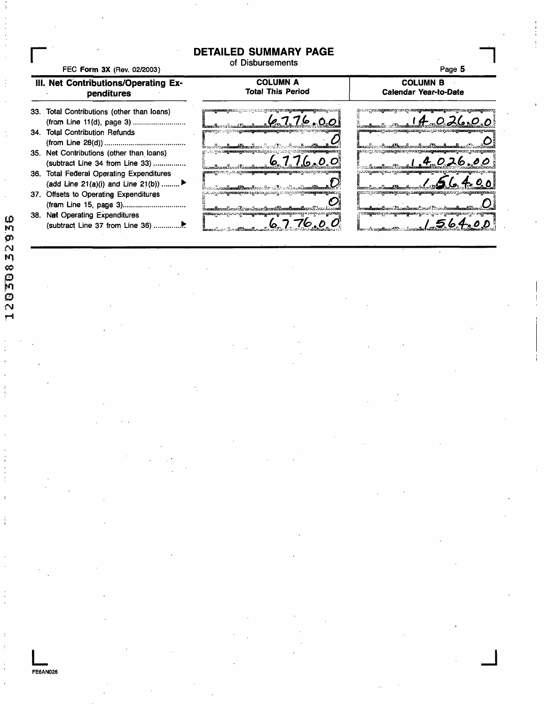### **DETAILED SUMMARY PAGE**

of Disbursements.



**FE6AN026**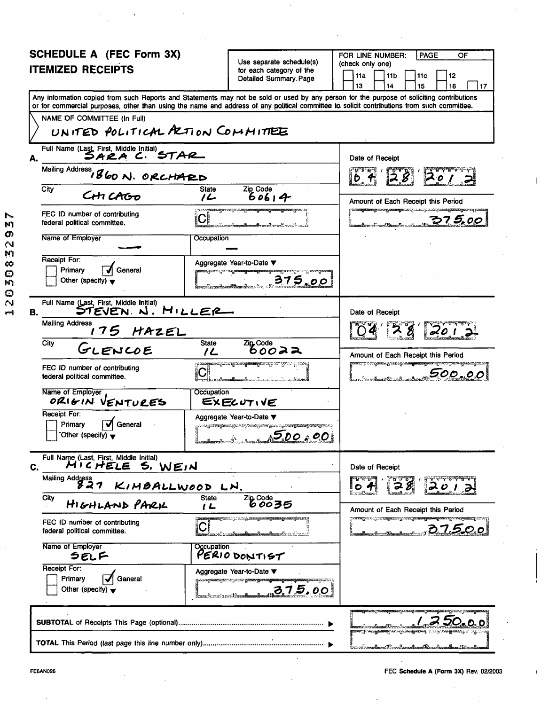| <b>SCHEDULE A (FEC Form 3X)</b>                                                                                                                                           |                                                                                                                                                                                         | FOR LINE NUMBER:<br><b>PAGE</b><br>OF                                                                                                     |
|---------------------------------------------------------------------------------------------------------------------------------------------------------------------------|-----------------------------------------------------------------------------------------------------------------------------------------------------------------------------------------|-------------------------------------------------------------------------------------------------------------------------------------------|
| <b>ITEMIZED RECEIPTS</b>                                                                                                                                                  | Use separate schedule(s)<br>for each category of the                                                                                                                                    | (check only one)                                                                                                                          |
|                                                                                                                                                                           | Detailed Summary. Page                                                                                                                                                                  | 11a<br>11 <sub>b</sub><br>12<br>11 c<br>13<br>14<br>16<br>15<br>17                                                                        |
| or for commercial purposes, other than using the name and address of any political committee to solicit contributions from such committee.<br>NAME OF COMMITTEE (In Full) |                                                                                                                                                                                         | Any information copied from such Reports and Statements may not be sold or used by any person for the purpose of soliciting contributions |
| UNITED POLITICAL PRITION COMMITTEE                                                                                                                                        |                                                                                                                                                                                         |                                                                                                                                           |
|                                                                                                                                                                           |                                                                                                                                                                                         |                                                                                                                                           |
| Full Name (Last, First, Middle Initial)<br>SARA C. STAR<br>А.                                                                                                             |                                                                                                                                                                                         | Date of Receipt                                                                                                                           |
| Mailing Address, 860 N. ORCHARD                                                                                                                                           |                                                                                                                                                                                         |                                                                                                                                           |
| City<br>CHI CAGO                                                                                                                                                          | Zip Code<br><b>State</b><br>60614<br>ے ر                                                                                                                                                | Amount of Each Receipt this Period                                                                                                        |
| FEC ID number of contributing<br>federal political committee.                                                                                                             | ്പാപാർ എ <b>ത്തെയാണ് പാ</b> സ്പ്രദാഹമ്മുള് <b>ഞ്ഞു</b><br>$\mathbf{C}^*$                                                                                                                | <b>TERROR SERVICE DE L'EST DE L'ARTICIA DE L'EST DE L'EST DE L'EST DE L'EST DE L'EST DE L'EST DE L'EST DE L'EST D</b><br><u>375.00</u>    |
| Name of Employer                                                                                                                                                          | Occupation                                                                                                                                                                              |                                                                                                                                           |
| Receipt For:<br>General<br>Primary<br>Other (specify) $\blacktriangledown$                                                                                                | Aggregate Year-to-Date ▼<br><b>himmeri</b> nen itt sto <b>rt kommuttasan kann kann</b> hären linnat <sup>i</sup> n sen av man<br>375.00<br>$a_{\rm{stack}}$ , $b_{\rm{center}}$         |                                                                                                                                           |
| Full Name (Last, First, Middle Initial)<br>STEVEN N. MILLER<br>В.                                                                                                         |                                                                                                                                                                                         | Date of Receipt                                                                                                                           |
| <b>Mailing Address</b><br>175 HAZEL                                                                                                                                       |                                                                                                                                                                                         |                                                                                                                                           |
| City<br>GLENCOE                                                                                                                                                           | <b>State</b><br>Zip <sub>cOde</sub><br>りひのみみ<br>1 L                                                                                                                                     | Amount of Each Receipt this Period                                                                                                        |
| FEC ID number of contributing<br>federal political committee.                                                                                                             | ျား <b>းဆေးစွာ</b> ထောလျောက် သားစွာအား <b>တွေ</b><br>$\mathbf{C}^{\text{\tiny R}}$                                                                                                      | <b>garan: 7. magaanaynaangaanaagaanaagaanay</b> nanay<br>500.00<br>มากกับบอล <b>เลือนแล้วเ</b> ลือนและเป็น                                |
| Name of Employer<br>ORIGIN VENTURES                                                                                                                                       | Occupation<br>EXECUTIVE                                                                                                                                                                 |                                                                                                                                           |
| Receipt For:<br>Primary<br>General<br>Other (specify) $\blacktriangledown$                                                                                                | Aggregate Year-to-Date ▼<br>ු කාල අනුදාර්ශික්ෂුම්කාගේ නුදිනා කර පිරිස්සේ දැන්නේ <sub>දින</sub> ්නේ සැ <sub>බ</sub> ්සියා ස <b>ුවර්ගික්ෂු විශ්වා</b> සිදු කිරීමට දැන<br>$1 - 1 - 500.00$ |                                                                                                                                           |
| Full Name (Last, First, Middle Initial)<br>MICHELE S. WEIN<br>C.                                                                                                          |                                                                                                                                                                                         | Date of Receipt                                                                                                                           |
| Mailing Address<br>827<br>KIMBALLWOOD LN.                                                                                                                                 |                                                                                                                                                                                         | 28                                                                                                                                        |
| City<br>HIGHLAND PARK                                                                                                                                                     | $\frac{z_0}{600}$<br><b>State</b><br>I L                                                                                                                                                | Amount of Each Receipt this Period                                                                                                        |
| FEC ID number of contributing<br>federal political committee.                                                                                                             | нераспортальны аракандана среднения данах<br>$ \mathbf{C} $                                                                                                                             | <b>ARTICLES CONTRACTES AND CONTRACT OF A SECOND AND SECOND ASSESS</b><br>. . 37500                                                        |
| Name of Employer<br>SELF                                                                                                                                                  | Occupation<br>PERIO DONTIST                                                                                                                                                             |                                                                                                                                           |
| Receipt For:<br>Primary<br>General<br>Other (specify) $\blacktriangledown$                                                                                                | Aggregate Year-to-Date ▼<br><b>2)以上の程度を確定している。これに実際的の程度の中国連盟の国際の国際の国際の国際を実現していました。</b><br>375.00<br>šerezhonet inst <b>hlaz</b>                                                         |                                                                                                                                           |
|                                                                                                                                                                           |                                                                                                                                                                                         | <b>ആഘോക്രക്കങ്ങളുടെങ്കപു</b> റവാലുംബാ                                                                                                     |
|                                                                                                                                                                           |                                                                                                                                                                                         | ri i mendama Tirarikanadaan Dirarikanadaan Sebasah                                                                                        |

í.

 $\mathsf I$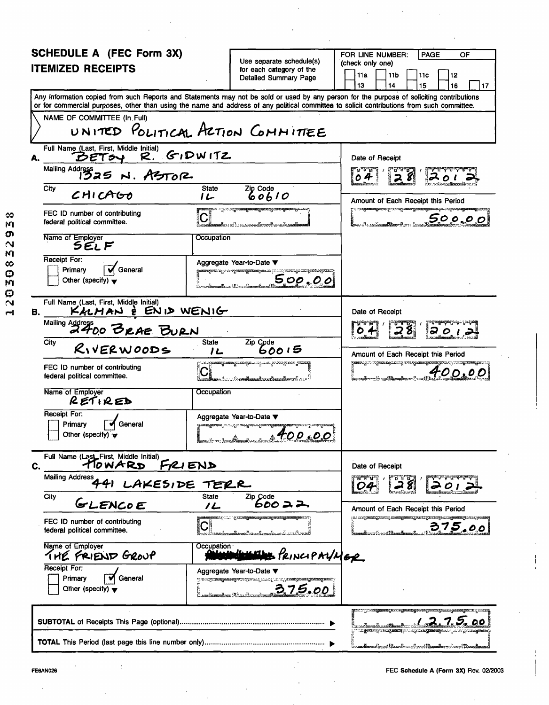| SCHEDULE A (FEC Form 3X)                                                                                                                                                                                                                                                                |                                                      |                                                                                                                              |  | FOR LINE NUMBER:                                                    |  |                  | <b>PAGE</b>                                                                                                    |                | OF |    |
|-----------------------------------------------------------------------------------------------------------------------------------------------------------------------------------------------------------------------------------------------------------------------------------------|------------------------------------------------------|------------------------------------------------------------------------------------------------------------------------------|--|---------------------------------------------------------------------|--|------------------|----------------------------------------------------------------------------------------------------------------|----------------|----|----|
| <b>ITEMIZED RECEIPTS</b>                                                                                                                                                                                                                                                                | Use separate schedule(s)<br>for each category of the |                                                                                                                              |  | (check only one)<br>11a<br>11 <sub>b</sub><br>11 <sub>c</sub><br>12 |  |                  |                                                                                                                |                |    |    |
|                                                                                                                                                                                                                                                                                         |                                                      | <b>Detailed Summary Page</b>                                                                                                 |  | 13                                                                  |  | 14               | 15                                                                                                             |                | 16 | 17 |
| Any information copied from such Reports and Statements may not be sold or used by any person for the purpose of soliciting contributions<br>or for commercial purposes, other than using the name and address of any political committee to solicit contributions from such committee. |                                                      |                                                                                                                              |  |                                                                     |  |                  |                                                                                                                |                |    |    |
| NAME DF COMMITTEE (In Full)                                                                                                                                                                                                                                                             |                                                      |                                                                                                                              |  |                                                                     |  |                  |                                                                                                                |                |    |    |
| UNITED POLITICAL ACTION COMMITTEE                                                                                                                                                                                                                                                       |                                                      |                                                                                                                              |  |                                                                     |  |                  |                                                                                                                |                |    |    |
| Full Name (Last, First, Middle Initial)<br>$R.$ $G$ $D$ $N$ $1TZ$<br>DETSY<br>А.                                                                                                                                                                                                        |                                                      |                                                                                                                              |  | Date of Receipt                                                     |  |                  |                                                                                                                |                |    |    |
| Mailing Address 25 N. ASTOR                                                                                                                                                                                                                                                             |                                                      |                                                                                                                              |  | n Tr<br>04                                                          |  |                  |                                                                                                                |                |    |    |
| City<br>CHICAGO                                                                                                                                                                                                                                                                         | <b>State</b><br>1L                                   | $\frac{z_{ip} \, \text{Code}}{60610}$                                                                                        |  |                                                                     |  |                  | Amount of Each Receipt this Period                                                                             |                |    |    |
| FEC ID number of contributing<br>federal political committee.                                                                                                                                                                                                                           |                                                      | <b>തരമുള്ള പാട്ടുവരയ്ക്കുമെന്നുള്ളതരമുണ്ടായത്തിലേക്കുന്ന</b><br>.<br>ສື່ສະເລາະເລີ້ມລວຍມາມັດເຈຍອອໃຫ້ກອກຫນ້າກອກເອຍີໂອເ         |  |                                                                     |  |                  | man and an analysis and an analysis and an analysis and an analysis and an analysis and an analysis and a stra | <u>500.00 </u> |    |    |
| Name of Employer<br><b>SELF</b>                                                                                                                                                                                                                                                         | Occupation                                           |                                                                                                                              |  |                                                                     |  |                  |                                                                                                                |                |    |    |
| Receipt For:<br>General<br>Primary                                                                                                                                                                                                                                                      |                                                      | Aggregate Year-to-Date ▼<br><b>ളമ്മമത്യുടെന്നു. പ്രവരുത്തെടുത്തുകയുമാ</b> ണ്. (തന്ന് സ്ത്രേക്ക്                              |  |                                                                     |  |                  |                                                                                                                |                |    |    |
| Other (specify) $\blacktriangledown$                                                                                                                                                                                                                                                    |                                                      | <u>500,00</u>                                                                                                                |  |                                                                     |  |                  |                                                                                                                |                |    |    |
| Full Name (Last, First, Middle Initial)<br>KALMAN È ENID WENIG<br>В.                                                                                                                                                                                                                    |                                                      |                                                                                                                              |  | Date of Receipt                                                     |  |                  |                                                                                                                |                |    |    |
| Mailing Address<br>2400 BRAE BURN                                                                                                                                                                                                                                                       |                                                      |                                                                                                                              |  |                                                                     |  |                  |                                                                                                                |                |    |    |
| City<br>RIVERWOODS                                                                                                                                                                                                                                                                      | <b>State</b><br>Zip Code<br>60015<br>12              |                                                                                                                              |  | Amount of Each Receipt this Period                                  |  |                  |                                                                                                                |                |    |    |
| FEC ID number of contributing<br>federal political committee.                                                                                                                                                                                                                           |                                                      | lilo son tokana <mark>ma kata ka</mark> ka katika matang kata tanggalang kalang kalang kalang kalang kalang kalang kalang ka |  | iwaalkanatii wa <b>ldamad</b> ia.                                   |  |                  | <b>gaman</b> gatang <mark>ana</mark> ngananganang <mark>ananganan</mark> ginan                                 | 400.00         |    |    |
| Name of Employer<br>RETIRED                                                                                                                                                                                                                                                             | Occupation                                           |                                                                                                                              |  |                                                                     |  |                  |                                                                                                                |                |    |    |
| Receipt For:<br>General<br>Primary<br>Other (specify) $\mathbf{\mathcal{F}}$                                                                                                                                                                                                            |                                                      | Aggregate Year-to-Date ▼<br><b>ുത്തേയുള്ളത്തില് പ്രതാസ്ത്ര അപ്പൂട്ടിയപെട്ടുകയെയുള്ളയുമാറ്റ്</b> മാണ<br>$-100.00$             |  |                                                                     |  |                  |                                                                                                                |                |    |    |
| Full Name (Last First, Middle Initial)<br>TOWARD FRIEND<br>С.                                                                                                                                                                                                                           |                                                      |                                                                                                                              |  | Date of Receipt                                                     |  |                  |                                                                                                                |                |    |    |
| Mailing Address 441 LAKESIDE TERR                                                                                                                                                                                                                                                       |                                                      |                                                                                                                              |  |                                                                     |  |                  |                                                                                                                |                |    |    |
| City<br>GLENCOE                                                                                                                                                                                                                                                                         | <b>State</b><br>1L                                   | Zip Code<br>600 2 2                                                                                                          |  |                                                                     |  |                  | Amount of Each Receipt this Period                                                                             |                |    |    |
| FEC ID number of contributing<br>federal political committee.                                                                                                                                                                                                                           |                                                      | <b>myörneta arkiinin kirjattan yhdessä yssuun syytetään y</b><br><u>matorcandianas Prance Baranticus</u>                     |  |                                                                     |  | nina (ara-40-ara | particly <del>ning prote</del> anniquently area yarray and the componently recent                              | 375.00         |    |    |
| Name of Employer<br>THE FRIEND GROUP                                                                                                                                                                                                                                                    | Occupation∸                                          | E PRINCIPAYMER                                                                                                               |  |                                                                     |  |                  |                                                                                                                |                |    |    |
| Receipt For:<br>General<br><b>Primary</b><br>Offier (specify) $\blacktriangledown$                                                                                                                                                                                                      |                                                      | Aggregate Year-to-Date ▼<br>рто с ауранску на неучествення развід развід на перанцузьких у н<br>375.00                       |  |                                                                     |  |                  |                                                                                                                |                |    |    |
|                                                                                                                                                                                                                                                                                         |                                                      |                                                                                                                              |  |                                                                     |  |                  | <b>COMPANY AREA AREA CONTACT AND AREA AREA</b>                                                                 |                |    |    |
|                                                                                                                                                                                                                                                                                         |                                                      |                                                                                                                              |  |                                                                     |  |                  | ……Amedeud Read— Arad Read, ,                                                                                   |                |    |    |

FE6AN026 FEC Schedule A (Form 3X) Rev. 02/2003

 $\mathbf{I}$ 

12030832938

 $\bar{z}$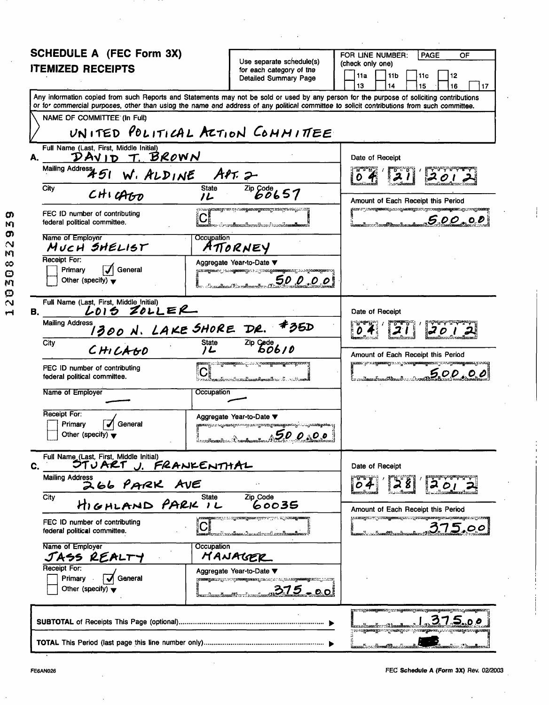| <b>SCHEDULE A (FEC Form 3X)</b>                                                                                                                                                                                                                                                         |                                                                                                                                        | FOR LINE NUMBER:<br>PAGE<br>OF                                                                                                         |
|-----------------------------------------------------------------------------------------------------------------------------------------------------------------------------------------------------------------------------------------------------------------------------------------|----------------------------------------------------------------------------------------------------------------------------------------|----------------------------------------------------------------------------------------------------------------------------------------|
| <b>ITEMIZED RECEIPTS</b>                                                                                                                                                                                                                                                                | Use separate schedule(s)<br>for each category of the                                                                                   | (check only one)<br>11a<br>11 <sub>b</sub><br>11 <sub>c</sub><br>12                                                                    |
|                                                                                                                                                                                                                                                                                         | <b>Detailed Summary Page</b>                                                                                                           | 13<br>14<br>15<br>16<br>17                                                                                                             |
| Any information copied from such Reports and Statements may not be sold or used by any person for the purpose of soliciting contributions<br>or for commercial purposes, other than using the name and address of any political committee to solicit contributions from such committee. |                                                                                                                                        |                                                                                                                                        |
| NAME OF COMMITTEE (In Full)                                                                                                                                                                                                                                                             |                                                                                                                                        |                                                                                                                                        |
| UNITED POLITICAL ACTION COMMITTEE                                                                                                                                                                                                                                                       |                                                                                                                                        |                                                                                                                                        |
| Full Name (Last, First, Middle Initial)<br>DAVID T. BROWN<br>А.                                                                                                                                                                                                                         |                                                                                                                                        | Date of Receipt                                                                                                                        |
| Mailing Address 451<br>W. ALDINE APT. 2                                                                                                                                                                                                                                                 |                                                                                                                                        | 201                                                                                                                                    |
| City<br><b>State</b><br>$CHI$ $GHD$                                                                                                                                                                                                                                                     | $\overline{^{2ip}}$ $^{Code}_{OO}$ 657                                                                                                 |                                                                                                                                        |
| 1L                                                                                                                                                                                                                                                                                      | io com Alexandria a di conditanti di anche di conditato della competenza in condi                                                      | Amount of Each Receipt this Period<br><b>yaara ahii araan kammaanii kaan adii muunakaan ahaa aadii kammadadamaan riika aadii kamma</b> |
| FEC ID number of contributing<br>federal political committee.                                                                                                                                                                                                                           | ໄທລາ <b>ນຕີແລະແລນີລາຕາມເປົ</b> າເລຍເກົາເພຍ <b>າເຂົ້າແລະ</b>                                                                            | 500.00                                                                                                                                 |
| Name of Employer<br>MUCH SHELIST                                                                                                                                                                                                                                                        | Occupation<br>ATTORNEY                                                                                                                 |                                                                                                                                        |
| Receipt For:<br>$\vert \mathcal{J} \vert$ General                                                                                                                                                                                                                                       | Aggregate Year-to-Date ▼                                                                                                               |                                                                                                                                        |
| Primary<br>Other (specify) $\blacktriangledown$                                                                                                                                                                                                                                         | ട്ട <b>ത്തേക്കും പ്രകാര്യങ്ങളുടെ പ</b> ്രത്തുമായ<br>50000                                                                              |                                                                                                                                        |
| Full Name (Last, First, Middle_Initial)<br>LOIS ZOLLER<br>В.                                                                                                                                                                                                                            |                                                                                                                                        | Date of Receipt                                                                                                                        |
| <b>Mailing Address</b><br>1300 N. LAKE SHORE DR.                                                                                                                                                                                                                                        | <b>#35D</b>                                                                                                                            | 2012                                                                                                                                   |
| City<br>State<br>CHILAGO<br>ル                                                                                                                                                                                                                                                           | $\overline{^{2ip}}$ $\overset{\text{Code}}{\cancel{606}}$ / 0                                                                          |                                                                                                                                        |
| <b>അതു പാട്ടുത്തേജ്ജമാപ്പ</b> പറയ്ക്കാ <mark>ടുമായതുമാരതുമാര</mark> ണ്ടുത്തേ<br>FEC ID number of contributing                                                                                                                                                                           | Amount of Each Receipt this Period<br><b>gama ya xageaanyy</b> xoo <mark>y waa<mark>geesayay</mark>aanyy</mark>                        |                                                                                                                                        |
| federal political committee.                                                                                                                                                                                                                                                            | ๛๛ <i>๛๛๛๛๛๛๛๛๛๛๛๛๛๛๛๛๛</i> ๛๛                                                                                                         | 500,00                                                                                                                                 |
| Name of Employer                                                                                                                                                                                                                                                                        | Occupation                                                                                                                             |                                                                                                                                        |
| Receipt For:                                                                                                                                                                                                                                                                            | Aggregate Year-to-Date ▼                                                                                                               |                                                                                                                                        |
| General<br>Primary<br>Other (specify) $\blacktriangledown$                                                                                                                                                                                                                              | <b>wax</b> aaqoo uguunayaanna baradadaanaa waxaa waxaa waxaa waxaa wa<br>1 500.00                                                      |                                                                                                                                        |
| Full Name (Last, First, Middle Initial)<br>STUART J. FRANKENTHAL<br>C.                                                                                                                                                                                                                  |                                                                                                                                        | Date of Receipt                                                                                                                        |
| <b>Mailing Address</b>                                                                                                                                                                                                                                                                  | $\sim$ $\sim$                                                                                                                          | 201                                                                                                                                    |
| SEL PARK AVE<br>City                                                                                                                                                                                                                                                                    | Zip Code<br>60035                                                                                                                      | Amount of Each Receipt this Period                                                                                                     |
| FEC ID number of contributing<br>federal political committee.                                                                                                                                                                                                                           | намда 11 оранне дене мусит реалар канце<br>diseasêna Amerîkanê kerdîka                                                                 | waxayiin iyo xaygana goolo iya waynanayana qaarayan in jirr<br>375.00                                                                  |
| Name of Employer<br>JASS REALTY                                                                                                                                                                                                                                                         | Occupation<br>MANAGER                                                                                                                  |                                                                                                                                        |
| Receipt For:<br>Primary<br>General                                                                                                                                                                                                                                                      | Aggregate Year-to-Date ▼                                                                                                               |                                                                                                                                        |
| Other (specify) $\blacktriangledown$                                                                                                                                                                                                                                                    | <b>ASSESSMENT OF PERSONS ASSESSED AT A LARGE PROPERTY OF A LARGE AND A LARGE AND A LARGE AND A LARGE AND A</b><br><u>. . 375 - 001</u> |                                                                                                                                        |
|                                                                                                                                                                                                                                                                                         |                                                                                                                                        | MITTEN TEMMIŞDIRILIRI ILDIRDIŞ                                                                                                         |
|                                                                                                                                                                                                                                                                                         |                                                                                                                                        |                                                                                                                                        |
|                                                                                                                                                                                                                                                                                         |                                                                                                                                        |                                                                                                                                        |

ļ

**O**  $\frac{M}{D}$ 

12030832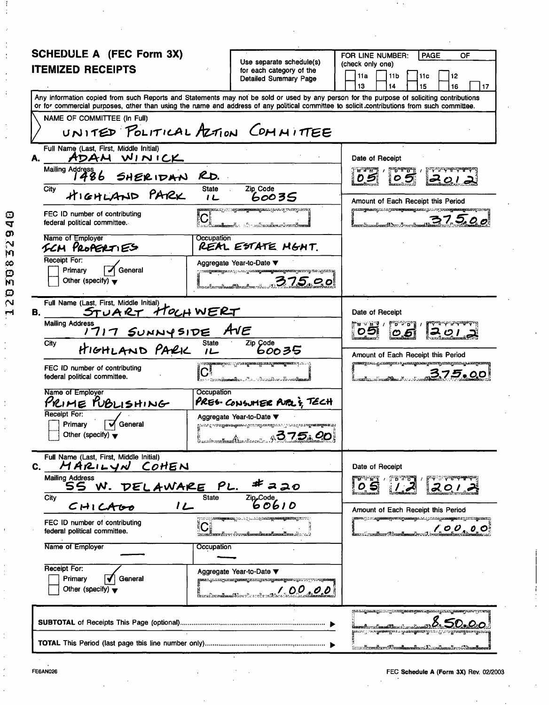| SCHEDULE A (FEC Form 3X)                                                                                                                                                                                                                                                                |                                                                                                                                                                                                | FOR LINE NUMBER:<br><b>PAGE</b><br>OF                                                                                 |
|-----------------------------------------------------------------------------------------------------------------------------------------------------------------------------------------------------------------------------------------------------------------------------------------|------------------------------------------------------------------------------------------------------------------------------------------------------------------------------------------------|-----------------------------------------------------------------------------------------------------------------------|
| <b>ITEMIZED RECEIPTS</b>                                                                                                                                                                                                                                                                | Use separate schedule(s)<br>for each category of the                                                                                                                                           | (check only one)                                                                                                      |
|                                                                                                                                                                                                                                                                                         | Detailed Sumemary Page                                                                                                                                                                         | 11a<br>11 <sub>b</sub><br>11c<br>12<br>13<br>14<br>15<br>16<br>17                                                     |
| Any information copied from such Reports and Statements may not be sold or used by any person for the purpose of soliciting contributions<br>or for commercial purposes, other than using the name and address of any political committee to solicit contributions from such committee. |                                                                                                                                                                                                |                                                                                                                       |
| NAME OF COMMITTEE (In Full)                                                                                                                                                                                                                                                             |                                                                                                                                                                                                |                                                                                                                       |
| UNITED POLITICAL ALTION COMMITTEE                                                                                                                                                                                                                                                       |                                                                                                                                                                                                |                                                                                                                       |
| Full Name (Last, First, Middle Initial)<br>ADAM WINICK                                                                                                                                                                                                                                  |                                                                                                                                                                                                | Date of Receipt                                                                                                       |
| Mailing Address 6 SHERIDAN RD.                                                                                                                                                                                                                                                          |                                                                                                                                                                                                | <b>MARCH</b><br>المهيمين                                                                                              |
| <b>State</b><br>City<br>HIGHLAND PARK<br>1 <sub>L</sub>                                                                                                                                                                                                                                 | Zip_Code<br>60035                                                                                                                                                                              | Amount of Each Receipt this Period                                                                                    |
| FEC ID number of contributing<br>federal political committee.                                                                                                                                                                                                                           | <b>asangsina.</b> ip.ini s <b>agunangnunagnun</b> gsostoj prangosoro.<br>ທີ່ມາ ກວ້າການໜ້າແນ <b>ນເຂັ້ມກະມາ</b> ໂຕຫວ                                                                             | <b>gantang maangan tagin magamaagan n</b> g kalawig pang<br>37.500                                                    |
| Name of Employer<br>Occupation<br>SCM PROPERTIES                                                                                                                                                                                                                                        | REAL ESTATE MGHT.                                                                                                                                                                              |                                                                                                                       |
| Receipt For:<br>General<br>Primary                                                                                                                                                                                                                                                      | Aggregate Year-to-Date ▼<br>ja kalendari kalendari kalendari kalendari kalendari kalendari ja jatotti kalendari kalendari kalendari kalend                                                     |                                                                                                                       |
| Other (specify) $\blacktriangledown$                                                                                                                                                                                                                                                    | 375.00                                                                                                                                                                                         |                                                                                                                       |
| Full Name (Last, First, Middle Initial)<br>STUART HOLHWERT<br>В.                                                                                                                                                                                                                        |                                                                                                                                                                                                | Date of Receipt                                                                                                       |
| <b>Mailing Address</b><br>1717 SUNNYSIDE AVE                                                                                                                                                                                                                                            |                                                                                                                                                                                                | ™ ∨ N Y /<br>09                                                                                                       |
| <b>State</b><br>City<br>HIGHLAND PARK<br>$1 -$                                                                                                                                                                                                                                          | $\overline{^{2ip}}$ $\overline{600}$ 35                                                                                                                                                        | Amount of Each Receipt this Period                                                                                    |
| FEC ID number of contributing<br>$ {\bf C} $<br>federal political committee.                                                                                                                                                                                                            | <b>надзелігі і разма адмінатарыма ақраманадыны т</b> уралы ал<br>ka <del>a maraalamada da dada da</del> waxaa dadka da dadka dadka dadka dadka dadka dadka dadka dadka dadka dadka dadka dadka | <b>many</b> ana gan <del>angan</del> a ny <mark>amangnosa yanany</mark> ananyana ya kanyana<br>3.75.00                |
| Occupation<br>Name of Employer<br>PRIME RUBLISHING                                                                                                                                                                                                                                      | PRES-CONSUMER PUPLE TECH                                                                                                                                                                       |                                                                                                                       |
| Receipt For:<br>General<br>Primary<br>Other (specify) $\blacktriangledown$                                                                                                                                                                                                              | Aggregate Year-to-Date ▼<br>പ്രാമം പ്രദേശത്തെക്കുമ്പോളെ സ്ത്രീക്ഷയുടെ പിട്ടി വാല് പ്രത്യേ <mark>ക്ഷങ്ങളുടെയുട</mark><br>1 275.00                                                               |                                                                                                                       |
| Full Name (Last, First, Middle Initial)<br>MARILYN COHEN<br>C.                                                                                                                                                                                                                          |                                                                                                                                                                                                | Date of Receipt                                                                                                       |
| <b>Mailing Address</b><br>SS W. DELAWARE<br>PL.                                                                                                                                                                                                                                         | ≠<br>ススの                                                                                                                                                                                       | <b>A. A. M. K</b><br>D.<br>20.                                                                                        |
| <b>State</b><br>City<br>12<br>CHICA00                                                                                                                                                                                                                                                   | Zip <sub>code</sub><br>60610                                                                                                                                                                   | Amount of Each Receipt this Period                                                                                    |
| FEC ID number of contributing<br>federal political committee.                                                                                                                                                                                                                           | produj <mark>assagemas</mark> journ juliaja <b>ssagemagemas</b> ja se p<br>ara Arre de conclamada                                                                                              | <b>nows: 10 magaanaqsamaqananga. 2014 magaanagaan ng mumiganong</b><br>100.00                                         |
| Name of Employer<br>Occupation                                                                                                                                                                                                                                                          |                                                                                                                                                                                                |                                                                                                                       |
| Receipt For:<br><b>Primary</b><br>General                                                                                                                                                                                                                                               | Aggregate Year-to-Date ▼                                                                                                                                                                       |                                                                                                                       |
| Other (specify) $\blacktriangledown$                                                                                                                                                                                                                                                    | 100,00<br>ใหม่นในเพ <b>นันแต่ใ</b> ห้เหาในการใคร <b>เป็</b> น                                                                                                                                  |                                                                                                                       |
|                                                                                                                                                                                                                                                                                         |                                                                                                                                                                                                | ™©™™™™™™™™™™™™™™™™™™™™™™™™™™™™<br>ളകാര <sub>്ട</sub> ായിരു <b>ള്ളങ്ങളുടെ പര്യക്കാരുള്ളത്. ഉപ</b> രാഹ്മത്തേക്കുത്തോടുപ |
|                                                                                                                                                                                                                                                                                         |                                                                                                                                                                                                |                                                                                                                       |

 $\cdot$ 

 $\frac{1}{2}$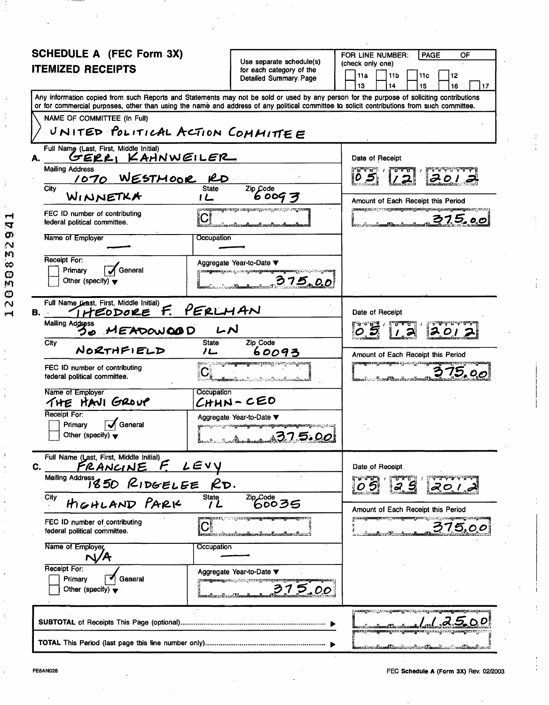| <b>SCHEDULE A (FEC Form 3X)</b>                                                                                                            |                                                                                                                    |                                                                                                                                        | FOR LINE NUMBER:<br><b>PAGE</b><br>OF                                                                                                     |  |  |  |  |  |
|--------------------------------------------------------------------------------------------------------------------------------------------|--------------------------------------------------------------------------------------------------------------------|----------------------------------------------------------------------------------------------------------------------------------------|-------------------------------------------------------------------------------------------------------------------------------------------|--|--|--|--|--|
|                                                                                                                                            |                                                                                                                    | Use separate schedule(s)                                                                                                               | (check only one)                                                                                                                          |  |  |  |  |  |
| <b>ITEMIZED RECEIPTS</b>                                                                                                                   |                                                                                                                    | for each category of the<br>Detailed Summary Page                                                                                      | 11a<br>11 <sub>b</sub><br>11 <sub>c</sub><br>12                                                                                           |  |  |  |  |  |
|                                                                                                                                            |                                                                                                                    |                                                                                                                                        | 14<br>16<br>l 17<br>13<br>15                                                                                                              |  |  |  |  |  |
| or for commercial purposes, other than using the name and address of any political committee to solicit contributions from such committee. |                                                                                                                    |                                                                                                                                        | Any information copied from such Reports and Statements may not be sold or used by any person for the purpose of soliciting contributions |  |  |  |  |  |
| NAME OF COMMITTEE (In Full)                                                                                                                |                                                                                                                    |                                                                                                                                        |                                                                                                                                           |  |  |  |  |  |
| UNITED POLITICAL ACTION COMMITTEE                                                                                                          |                                                                                                                    |                                                                                                                                        |                                                                                                                                           |  |  |  |  |  |
| Full Name (Last, First, Middle Initial)<br>GERRI KAHNWEILER<br>А.                                                                          |                                                                                                                    |                                                                                                                                        | Date of Receipt                                                                                                                           |  |  |  |  |  |
| <b>Mailing Address</b><br><u>1070 WESTMOOR RD</u>                                                                                          |                                                                                                                    |                                                                                                                                        | A A A A A A A BAAM<br>201                                                                                                                 |  |  |  |  |  |
| City<br>WINNETKA                                                                                                                           | <b>State</b><br>1 <sub>L</sub>                                                                                     | Zip Code<br>60097                                                                                                                      | Amount of Each Receipt this Period                                                                                                        |  |  |  |  |  |
| FEC ID number of contributing<br>federal political committee.                                                                              | <b>unusia garaning ito monga saa oga asi og antara sa signo amay naan</b><br>$\mathbf{C}$                          | imreðinnaðannaðinnaðannaðan                                                                                                            | <b>managuato je verjanangana quangu</b> na qyaana <b>guananga</b> nang xee<br>375.00<br>ະ<br>ໂຕການຕົກການເພີ່ມ <b>ແຫລນີ້ ໃຫ້ແຕ່ມານີ້ແລ</b> |  |  |  |  |  |
| Name of Employer                                                                                                                           | Occupation                                                                                                         |                                                                                                                                        |                                                                                                                                           |  |  |  |  |  |
| Receipt For:                                                                                                                               | Aggregate Year-to-Date ▼                                                                                           |                                                                                                                                        |                                                                                                                                           |  |  |  |  |  |
| General<br>Primary<br>Other (specify) $\blacktriangledown$                                                                                 |                                                                                                                    | <b>താരത്തുകളുടെ പ്രവാധിച്ചു. പ്രവാധിച്ചു പ്രത്യക്ഷമായിരുന്നു. ഇത് കാര്യക്കാര് പ്രത്യക്ഷമായി പ്രത്യക്ഷമായി പ്രത്യക</b><br><u>315.00</u> |                                                                                                                                           |  |  |  |  |  |
| Full Name Clast, First, Middle Initial)<br>THEODORE F. PERLHAN<br>в. –                                                                     |                                                                                                                    |                                                                                                                                        | Date of Receipt                                                                                                                           |  |  |  |  |  |
| <b>Mailing Address</b><br>30 MEADOWOOD                                                                                                     | レハ                                                                                                                 |                                                                                                                                        | <u>Fanske</u>                                                                                                                             |  |  |  |  |  |
| City<br>NORTHFIELD                                                                                                                         | <b>State</b><br>ノ┗                                                                                                 | Zip Code<br>60093                                                                                                                      | Amount of Each Receipt this Period                                                                                                        |  |  |  |  |  |
| FEC ID number of contributing<br>federal political committee.                                                                              | ള്ളപ്പെട്ട് നാന്ത്രമേ <mark>രുത്തേയുടെയ</mark> ാനുമായി നാല് നാന്ത്രമേര<br><u>CL Anglice Service Archaeological</u> |                                                                                                                                        | <b>maanii ilmaanii maanii maanii ka</b><br>375.00<br><b>Lange Land Band</b> & Band                                                        |  |  |  |  |  |
| Name of Employer<br>THE HAVI GROUP                                                                                                         | Occupation<br>$CHHN-CEO$                                                                                           |                                                                                                                                        |                                                                                                                                           |  |  |  |  |  |
| Receipt For:<br>General<br>Primary<br>Other (specify) $\blacktriangledown$                                                                 | Aggregate Year-to-Date ▼                                                                                           | ള്ളുകളെപ്പുറപ്പെട്ട പറ്റും നല്ക്കു <b>ട്ടുകയെടുത്തിരുന്നു. ഇത് കാര്യൂട്ടയെടുത്തുക്കുട്ടുകളുടെ തു</b> ക്കാന് പറ്റു പറ പണ്ണ<br>1 275.00  |                                                                                                                                           |  |  |  |  |  |
| Full Name (Last, First, Middle Initial)<br>FRANCINE F. LEVY<br>C.                                                                          |                                                                                                                    |                                                                                                                                        | Date of Receipt                                                                                                                           |  |  |  |  |  |
| Mailing Address 1850 RIDGELEE RD.                                                                                                          |                                                                                                                    |                                                                                                                                        | ัน มีผู้<br>20,1.                                                                                                                         |  |  |  |  |  |
| HIGHLAND PARK<br>City                                                                                                                      | State                                                                                                              | $2ip\text{Code}$ 60035                                                                                                                 | Amount of Each Receipt this Period                                                                                                        |  |  |  |  |  |
| FEC ID number of contributing<br>federal political committee.                                                                              | a adalah Sep <del>erti Kecal</del> an Seperti Seperti Sep                                                          | <b>partner artificial control de la construction de la construction de la construction de la construction de la c</b>                  | jillaa ogg <b>aanayyi</b> i aati juuma <b>qunimi a</b> andi<br>375,00                                                                     |  |  |  |  |  |
| Name of Employer                                                                                                                           | Occupation                                                                                                         |                                                                                                                                        |                                                                                                                                           |  |  |  |  |  |
| Receipt For:<br>Primary<br>General<br>Other (specify) $\blacktriangledown$                                                                 | Aggregate Year-to-Date ▼                                                                                           |                                                                                                                                        |                                                                                                                                           |  |  |  |  |  |
|                                                                                                                                            |                                                                                                                    |                                                                                                                                        |                                                                                                                                           |  |  |  |  |  |
|                                                                                                                                            |                                                                                                                    |                                                                                                                                        | matamatka mikamatka matka mikamatka katika matka matka matka matka matka matka matka matka matka matka matka m                            |  |  |  |  |  |
|                                                                                                                                            |                                                                                                                    |                                                                                                                                        |                                                                                                                                           |  |  |  |  |  |

12030832941

 $\cdot$ 

÷,  $\bar{1}$ 

 $\ddot{\ddot{\varepsilon}}$ 

 $\ddot{\phantom{a}}$ 

÷ ÷

÷,

÷.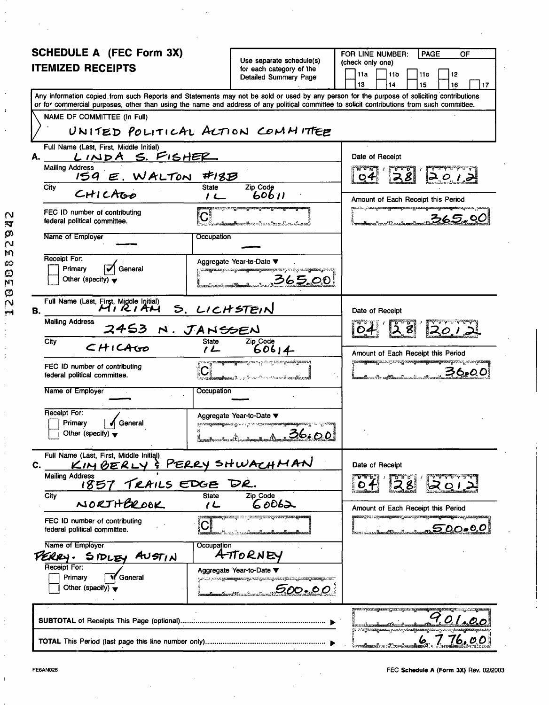| SCHEDULE A (FEC Form 3X)                                                                                                                                                                                                                                                                |                                              |                                                                                                                          | FOR LINE NUMBER:<br><b>PAGE</b><br>OF                                                                                                                                                   |  |  |  |  |  |
|-----------------------------------------------------------------------------------------------------------------------------------------------------------------------------------------------------------------------------------------------------------------------------------------|----------------------------------------------|--------------------------------------------------------------------------------------------------------------------------|-----------------------------------------------------------------------------------------------------------------------------------------------------------------------------------------|--|--|--|--|--|
| <b>ITEMIZED RECEIPTS</b>                                                                                                                                                                                                                                                                |                                              | Use separate schedule(s)<br>for each category of the                                                                     | (check only one)<br>11a<br>11 <sub>b</sub><br>11c<br>  12                                                                                                                               |  |  |  |  |  |
|                                                                                                                                                                                                                                                                                         |                                              | Detailed Summary Page                                                                                                    | 13<br>14<br>15<br>16<br>17                                                                                                                                                              |  |  |  |  |  |
| Any information copied from such Reports and Statements may not be sold or used by any person for the purpose of soliciting contributions<br>or for commercial purposes, other than using the name and address of any political committee to solicit contributions from such committee. |                                              |                                                                                                                          |                                                                                                                                                                                         |  |  |  |  |  |
| NAME OF COMMITTEE (In Full)                                                                                                                                                                                                                                                             |                                              |                                                                                                                          |                                                                                                                                                                                         |  |  |  |  |  |
| UNITED POLITICAL ACTION COMMITTEE                                                                                                                                                                                                                                                       |                                              |                                                                                                                          |                                                                                                                                                                                         |  |  |  |  |  |
| Full Name (Last, First, Middle Initial)<br>А.                                                                                                                                                                                                                                           | <u>LINDA S. FISHER</u>                       |                                                                                                                          |                                                                                                                                                                                         |  |  |  |  |  |
|                                                                                                                                                                                                                                                                                         | <b>Mailing Address</b><br>159 E. WALTON #18B |                                                                                                                          |                                                                                                                                                                                         |  |  |  |  |  |
| City<br>CHICAtop                                                                                                                                                                                                                                                                        | <b>State</b><br>$1+$                         | Zip Code<br>60611                                                                                                        | Amount of Each Receipt this Period                                                                                                                                                      |  |  |  |  |  |
| FEC ID number of contributing<br>federal political committee.                                                                                                                                                                                                                           | $\mathbf{C}^*$                               | a <del>ð 1990-</del> - Annar Annar Annar Albandi (f. 1942)                                                               | <b>stative produced second produced and considerably and considered and considerably and considerably and considerably</b><br>ろんらい<br>cadhacaal ar an Dàmaidhe                          |  |  |  |  |  |
| Name of Employer                                                                                                                                                                                                                                                                        | Occupation                                   |                                                                                                                          |                                                                                                                                                                                         |  |  |  |  |  |
| Receipt For:<br>General                                                                                                                                                                                                                                                                 |                                              | Aggregate Year-te-Date ▼                                                                                                 |                                                                                                                                                                                         |  |  |  |  |  |
| Primary<br>Other (specify) $\blacktriangledown$                                                                                                                                                                                                                                         |                                              | രാശ <b>ഭൂതമാന്റെ പാട്ടുക്കുമുള്ളമാന്റെന്നോ</b> സ്കാര്യയായിരുന്നോ.<br>365.00                                              |                                                                                                                                                                                         |  |  |  |  |  |
| Full Name (Last, First, Middle Initial)<br>MIRIAN S. LICHSTEIN<br>В.                                                                                                                                                                                                                    |                                              |                                                                                                                          | Date of Receipt                                                                                                                                                                         |  |  |  |  |  |
| Mailing Address<br>2453 N. JANSSEN                                                                                                                                                                                                                                                      |                                              | Zip_Code                                                                                                                 |                                                                                                                                                                                         |  |  |  |  |  |
| City                                                                                                                                                                                                                                                                                    | $1 -$                                        | Amount of Each Receipt this Period                                                                                       |                                                                                                                                                                                         |  |  |  |  |  |
| FEC ID number of contributing<br>federal political committee.                                                                                                                                                                                                                           |                                              | ്രാം മുത്ത <mark>്യമേയെയ്</mark> തതോടുന്ന പുറ സസ്റ്റാര് ഗല്ലക്കര്ട്ടുമെയ്യു<br><b>C</b> Andreas Andrew Construction      | galaan <mark>igamaa g</mark> ala waqoo galay kaleen <mark>galamaa gala mada</mark> maa gala ka baya dagaa<br>ろんぺ<br><b>andlume. Becault Discussion in the Common States of Street A</b> |  |  |  |  |  |
| Name of Employer                                                                                                                                                                                                                                                                        | Occupation                                   |                                                                                                                          |                                                                                                                                                                                         |  |  |  |  |  |
| Receipt For:                                                                                                                                                                                                                                                                            |                                              | Aggregate Year-to-Date ▼                                                                                                 |                                                                                                                                                                                         |  |  |  |  |  |
| Primary<br>General<br>Other (specify) $\blacktriangledown$                                                                                                                                                                                                                              |                                              | ള മാത്രമുണ്ട് ആകും പുറ്റാം പുറ്റവും മുത്തത്തിന്റെ അവല്ലെ മാത്രമുള്ള കാര്യം കാര്യം കാര്യം കാര്യം കാര്യം കാര്യം<br>1 36.00 |                                                                                                                                                                                         |  |  |  |  |  |
| Full Name (Last, First, Middle Initial)<br>KIMBERLY<br>С.                                                                                                                                                                                                                               |                                              | & PERRY SHWACHMAN                                                                                                        | Date of Receipt                                                                                                                                                                         |  |  |  |  |  |
| <b>Mailing Address</b><br>1857 TRAILS EDGE DR.<br>City                                                                                                                                                                                                                                  | <b>State</b>                                 | Zip Code                                                                                                                 |                                                                                                                                                                                         |  |  |  |  |  |
| NORTHEROOK                                                                                                                                                                                                                                                                              | しん                                           | 60062                                                                                                                    | Amount of Each Receipt this Period                                                                                                                                                      |  |  |  |  |  |
| FEC ID number of contributing<br>federal political committee.                                                                                                                                                                                                                           |                                              | <b>segarang digawagan pangkarang s</b><br>ာင္း ေကာက္မွာ အမွာေတြအေအာင္မ်ားမွာ                                             | <b>ganaa ye u ayaanaganay yaxay ye maganaaganaaga aa yaa ayaan</b><br><u> 1990.000 mm</u>                                                                                               |  |  |  |  |  |
| Name of Employer<br>PERRY.<br>SIDLE<br>AVST <sub>1</sub> N                                                                                                                                                                                                                              |                                              |                                                                                                                          |                                                                                                                                                                                         |  |  |  |  |  |
| Receipt For:<br>Primary<br>Ganeral                                                                                                                                                                                                                                                      |                                              | Aggregate Year-to-Date ▼                                                                                                 |                                                                                                                                                                                         |  |  |  |  |  |
| Other (specify) $\blacktriangledown$                                                                                                                                                                                                                                                    |                                              | ra oo bola <b>yyaangawedye kis</b> gunaaliwa iyaala <mark>liadaa <mark>yaanay</mark>aha</mark><br>5.00…00                |                                                                                                                                                                                         |  |  |  |  |  |
|                                                                                                                                                                                                                                                                                         |                                              |                                                                                                                          | na prosegnanju za proganagana gravije za juli prose<br>ny totana manana ya ndina manana manana ya                                                                                       |  |  |  |  |  |
|                                                                                                                                                                                                                                                                                         |                                              |                                                                                                                          | 76.00<br>် <i>ကားမီး</i> အားဆီတက် သော                                                                                                                                                   |  |  |  |  |  |

 $\ddot{\phantom{a}}$ 

J. l,

j

 $\mathbf{I}$ 

12030832942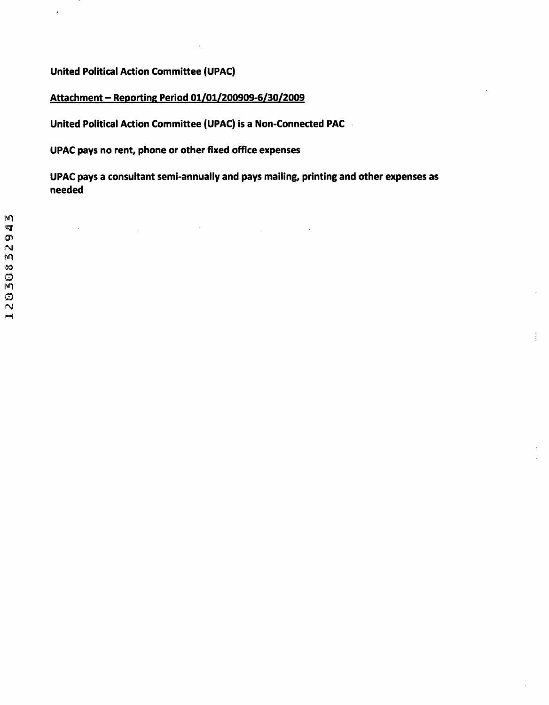**United Political Action Committee (UPAC)** 

 $\bar{\mathbf{t}}$ 

## **Attachment - Reporting Period 01/01/200909-6/30/2009**

**United Political Action Committee (UPAC) is a Non-Connected PAC** 

 $\mathcal{L}^{\text{max}}_{\text{max}}$  and  $\mathcal{L}^{\text{max}}_{\text{max}}$ 

**UPAC pays no rent, phone or other fixed office expenses** 

**UPAC pays a consultant semi-annually and pays mailing, printing and other expenses as needed** 

 $\sim 10^{-1}$ 

ŧ.